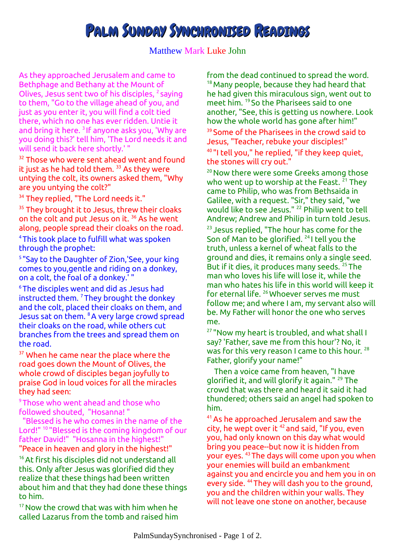## PALM SUNDAY SYNCHRONISED READINGS

## Matthew Mark Luke John

As they approached Jerusalem and came to Bethphage and Bethany at the Mount of Olives, Jesus sent two of his disciples, <sup>2</sup> saying to them, "Go to the village ahead of you, and just as you enter it, you will find a colt tied there, which no one has ever ridden. Untie it and bring it here. <sup>3</sup> If anyone asks you, 'Why are you doing this?' tell him, 'The Lord needs it and will send it back here shortly.' "

<sup>32</sup> Those who were sent ahead went and found it just as he had told them.  $33$  As they were untying the colt, its owners asked them, "Why are you untying the colt?"

<sup>34</sup> They replied, "The Lord needs it."

<sup>35</sup> They brought it to Jesus, threw their cloaks on the colt and put Jesus on it. <sup>36</sup> As he went along, people spread their cloaks on the road.

<sup>4</sup>This took place to fulfill what was spoken through the prophet:

<sup>5</sup> "Say to the Daughter of Zion,'See, your king comes to you,gentle and riding on a donkey, on a colt, the foal of a donkey.' "

<sup>6</sup>The disciples went and did as Jesus had instructed them.  $7$  They brought the donkey and the colt, placed their cloaks on them, and Jesus sat on them. <sup>8</sup>A very large crowd spread their cloaks on the road, while others cut branches from the trees and spread them on the road.

<sup>37</sup> When he came near the place where the road goes down the Mount of Olives, the whole crowd of disciples began joyfully to praise God in loud voices for all the miracles they had seen:

<sup>9</sup>Those who went ahead and those who followed shouted, "Hosanna! "

 "Blessed is he who comes in the name of the Lord!" <sup>10</sup>"Blessed is the coming kingdom of our father David!" "Hosanna in the highest!" "Peace in heaven and glory in the highest!"

<sup>16</sup> At first his disciples did not understand all this. Only after Jesus was glorified did they realize that these things had been written about him and that they had done these things to him.

 $17$  Now the crowd that was with him when he called Lazarus from the tomb and raised him from the dead continued to spread the word. <sup>18</sup> Many people, because they had heard that he had given this miraculous sign, went out to meet him. <sup>19</sup> So the Pharisees said to one another, "See, this is getting us nowhere. Look how the whole world has gone after him!"

<sup>39</sup> Some of the Pharisees in the crowd said to Jesus, "Teacher, rebuke your disciples!" <sup>40</sup>"I tell you," he replied, "if they keep quiet, the stones will cry out."

<sup>20</sup> Now there were some Greeks among those who went up to worship at the Feast.  $21$  They came to Philip, who was from Bethsaida in Galilee, with a request. "Sir," they said, "we would like to see Jesus." <sup>22</sup> Philip went to tell Andrew; Andrew and Philip in turn told Jesus.

<sup>23</sup> Jesus replied, "The hour has come for the Son of Man to be glorified. <sup>24</sup>I tell you the truth, unless a kernel of wheat falls to the ground and dies, it remains only a single seed. But if it dies, it produces many seeds. <sup>25</sup>The man who loves his life will lose it, while the man who hates his life in this world will keep it for eternal life. <sup>26</sup> Whoever serves me must follow me; and where I am, my servant also will be. My Father will honor the one who serves me.

<sup>27</sup> "Now my heart is troubled, and what shall I say? 'Father, save me from this hour'? No, it was for this very reason I came to this hour. <sup>28</sup> Father, glorify your name!"

 Then a voice came from heaven, "I have glorified it, and will glorify it again." <sup>29</sup> The crowd that was there and heard it said it had thundered; others said an angel had spoken to him.

<sup>41</sup>As he approached Jerusalem and saw the city, he wept over it  $42$  and said, "If you, even you, had only known on this day what would bring you peace--but now it is hidden from your eyes. <sup>43</sup>The days will come upon you when your enemies will build an embankment against you and encircle you and hem you in on every side. <sup>44</sup>They will dash you to the ground, you and the children within your walls. They will not leave one stone on another, because